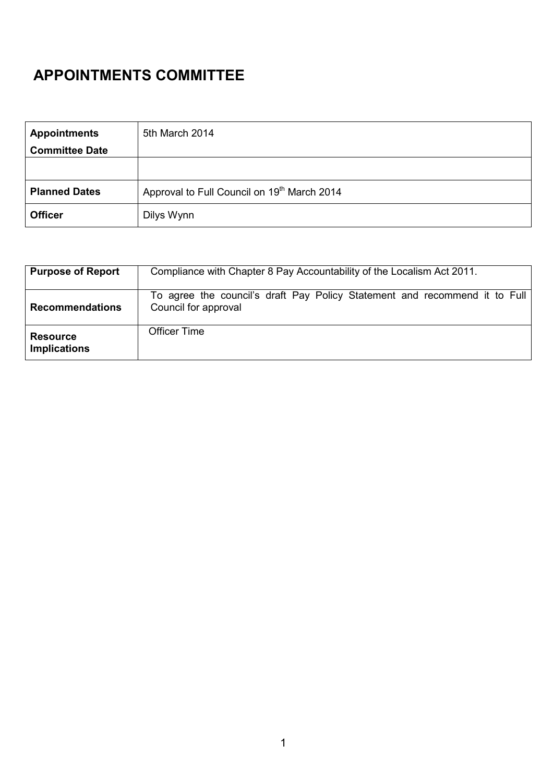## APPOINTMENTS COMMITTEE

| <b>Appointments</b>   | 5th March 2014                                          |
|-----------------------|---------------------------------------------------------|
| <b>Committee Date</b> |                                                         |
|                       |                                                         |
| <b>Planned Dates</b>  | Approval to Full Council on 19 <sup>th</sup> March 2014 |
| <b>Officer</b>        | Dilys Wynn                                              |

| <b>Purpose of Report</b>               | Compliance with Chapter 8 Pay Accountability of the Localism Act 2011.                             |
|----------------------------------------|----------------------------------------------------------------------------------------------------|
| <b>Recommendations</b>                 | To agree the council's draft Pay Policy Statement and recommend it to Full<br>Council for approval |
| <b>Resource</b><br><b>Implications</b> | <b>Officer Time</b>                                                                                |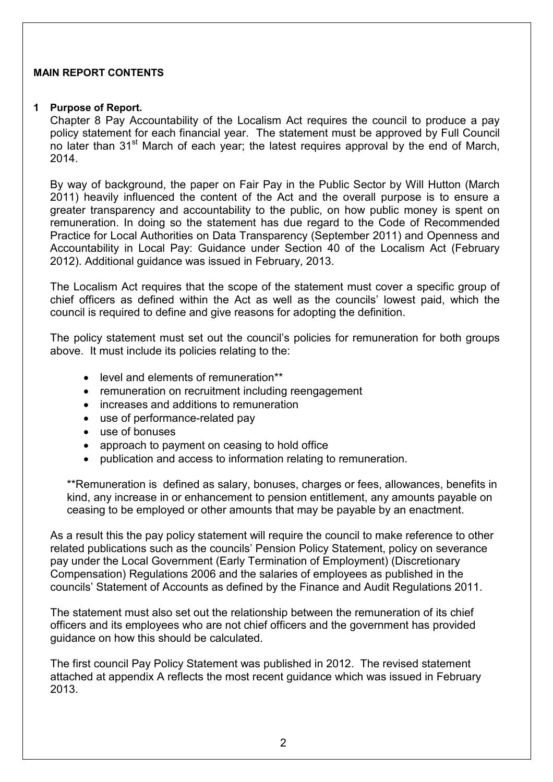## MAIN REPORT CONTENTS

## 1 Purpose of Report.

Chapter 8 Pay Accountability of the Localism Act requires the council to produce a pay policy statement for each financial year. The statement must be approved by Full Council no later than 31<sup>st</sup> March of each year; the latest requires approval by the end of March, 2014.

By way of background, the paper on Fair Pay in the Public Sector by Will Hutton (March 2011) heavily influenced the content of the Act and the overall purpose is to ensure a greater transparency and accountability to the public, on how public money is spent on remuneration. In doing so the statement has due regard to the Code of Recommended Practice for Local Authorities on Data Transparency (September 2011) and Openness and Accountability in Local Pay: Guidance under Section 40 of the Localism Act (February 2012). Additional guidance was issued in February, 2013.

The Localism Act requires that the scope of the statement must cover a specific group of chief officers as defined within the Act as well as the councils' lowest paid, which the council is required to define and give reasons for adopting the definition.

The policy statement must set out the council's policies for remuneration for both groups above. It must include its policies relating to the:

- level and elements of remuneration\*\*
- remuneration on recruitment including reengagement
- increases and additions to remuneration
- use of performance-related pay
- use of bonuses
- approach to payment on ceasing to hold office
- publication and access to information relating to remuneration.

\*\*Remuneration is defined as salary, bonuses, charges or fees, allowances, benefits in kind, any increase in or enhancement to pension entitlement, any amounts payable on ceasing to be employed or other amounts that may be payable by an enactment.

As a result this the pay policy statement will require the council to make reference to other related publications such as the councils' Pension Policy Statement, policy on severance pay under the Local Government (Early Termination of Employment) (Discretionary Compensation) Regulations 2006 and the salaries of employees as published in the councils' Statement of Accounts as defined by the Finance and Audit Regulations 2011.

The statement must also set out the relationship between the remuneration of its chief officers and its employees who are not chief officers and the government has provided guidance on how this should be calculated.

The first council Pay Policy Statement was published in 2012. The revised statement attached at appendix A reflects the most recent guidance which was issued in February 2013.